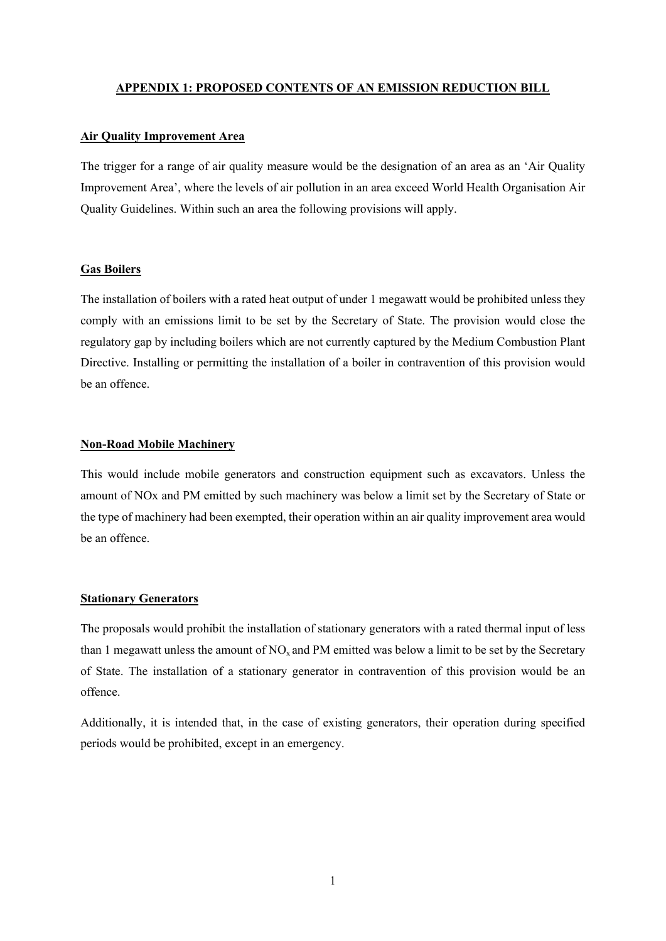### **APPENDIX 1: PROPOSED CONTENTS OF AN EMISSION REDUCTION BILL**

# **Air Quality Improvement Area**

The trigger for a range of air quality measure would be the designation of an area as an 'Air Quality Improvement Area', where the levels of air pollution in an area exceed World Health Organisation Air Quality Guidelines. Within such an area the following provisions will apply.

# **Gas Boilers**

The installation of boilers with a rated heat output of under 1 megawatt would be prohibited unless they comply with an emissions limit to be set by the Secretary of State. The provision would close the regulatory gap by including boilers which are not currently captured by the Medium Combustion Plant Directive. Installing or permitting the installation of a boiler in contravention of this provision would be an offence.

#### **Non-Road Mobile Machinery**

This would include mobile generators and construction equipment such as excavators. Unless the amount of NOx and PM emitted by such machinery was below a limit set by the Secretary of State or the type of machinery had been exempted, their operation within an air quality improvement area would be an offence.

### **Stationary Generators**

The proposals would prohibit the installation of stationary generators with a rated thermal input of less than 1 megawatt unless the amount of  $NO<sub>x</sub>$  and PM emitted was below a limit to be set by the Secretary of State. The installation of a stationary generator in contravention of this provision would be an offence.

Additionally, it is intended that, in the case of existing generators, their operation during specified periods would be prohibited, except in an emergency.